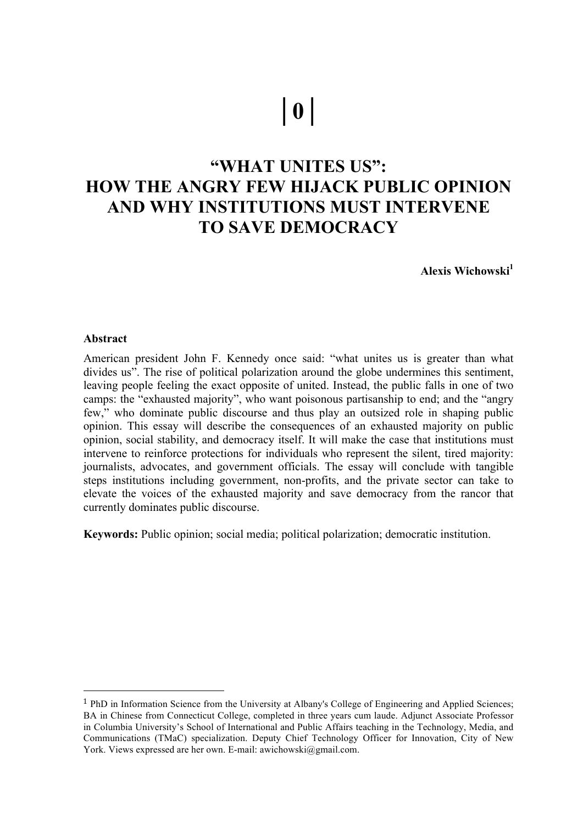# **│0│**

# **"WHAT UNITES US": HOW THE ANGRY FEW HIJACK PUBLIC OPINION AND WHY INSTITUTIONS MUST INTERVENE TO SAVE DEMOCRACY**

**Alexis Wichowski**<sup>1</sup>

#### **Abstract**

 

American president John F. Kennedy once said: "what unites us is greater than what divides us". The rise of political polarization around the globe undermines this sentiment, leaving people feeling the exact opposite of united. Instead, the public falls in one of two camps: the "exhausted majority", who want poisonous partisanship to end; and the "angry few," who dominate public discourse and thus play an outsized role in shaping public opinion. This essay will describe the consequences of an exhausted majority on public opinion, social stability, and democracy itself. It will make the case that institutions must intervene to reinforce protections for individuals who represent the silent, tired majority: journalists, advocates, and government officials. The essay will conclude with tangible steps institutions including government, non-profits, and the private sector can take to elevate the voices of the exhausted majority and save democracy from the rancor that currently dominates public discourse.

**Keywords:** Public opinion; social media; political polarization; democratic institution.

<sup>1</sup> PhD in Information Science from the University at Albany's College of Engineering and Applied Sciences; BA in Chinese from Connecticut College, completed in three years cum laude. Adjunct Associate Professor in Columbia University's School of International and Public Affairs teaching in the Technology, Media, and Communications (TMaC) specialization. Deputy Chief Technology Officer for Innovation, City of New York. Views expressed are her own. E-mail: awichowski@gmail.com.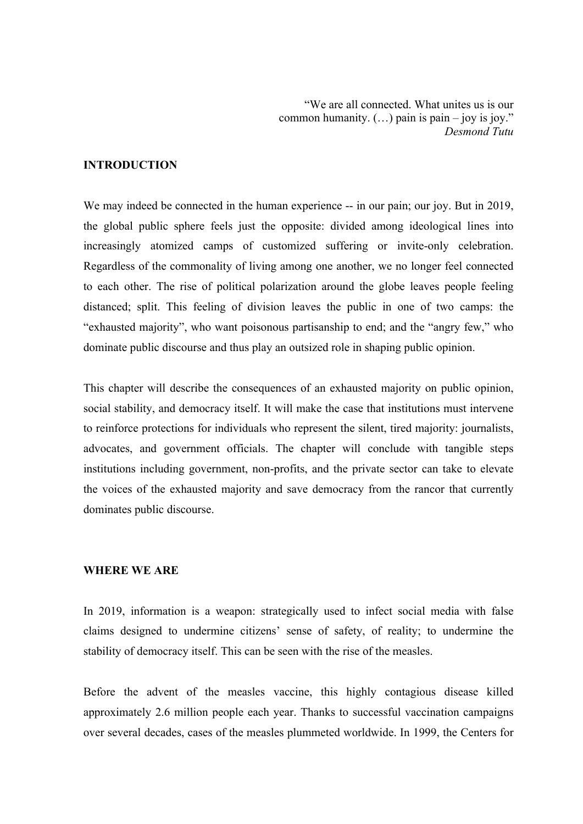"We are all connected. What unites us is our common humanity.  $(...)$  pain is pain – joy is joy." *Desmond Tutu*

#### **INTRODUCTION**

We may indeed be connected in the human experience -- in our pain; our joy. But in 2019, the global public sphere feels just the opposite: divided among ideological lines into increasingly atomized camps of customized suffering or invite-only celebration. Regardless of the commonality of living among one another, we no longer feel connected to each other. The rise of political polarization around the globe leaves people feeling distanced; split. This feeling of division leaves the public in one of two camps: the "exhausted majority", who want poisonous partisanship to end; and the "angry few," who dominate public discourse and thus play an outsized role in shaping public opinion.

This chapter will describe the consequences of an exhausted majority on public opinion, social stability, and democracy itself. It will make the case that institutions must intervene to reinforce protections for individuals who represent the silent, tired majority: journalists, advocates, and government officials. The chapter will conclude with tangible steps institutions including government, non-profits, and the private sector can take to elevate the voices of the exhausted majority and save democracy from the rancor that currently dominates public discourse.

## **WHERE WE ARE**

In 2019, information is a weapon: strategically used to infect social media with false claims designed to undermine citizens' sense of safety, of reality; to undermine the stability of democracy itself. This can be seen with the rise of the measles.

Before the advent of the measles vaccine, this highly contagious disease killed approximately 2.6 million people each year. Thanks to successful vaccination campaigns over several decades, cases of the measles plummeted worldwide. In 1999, the Centers for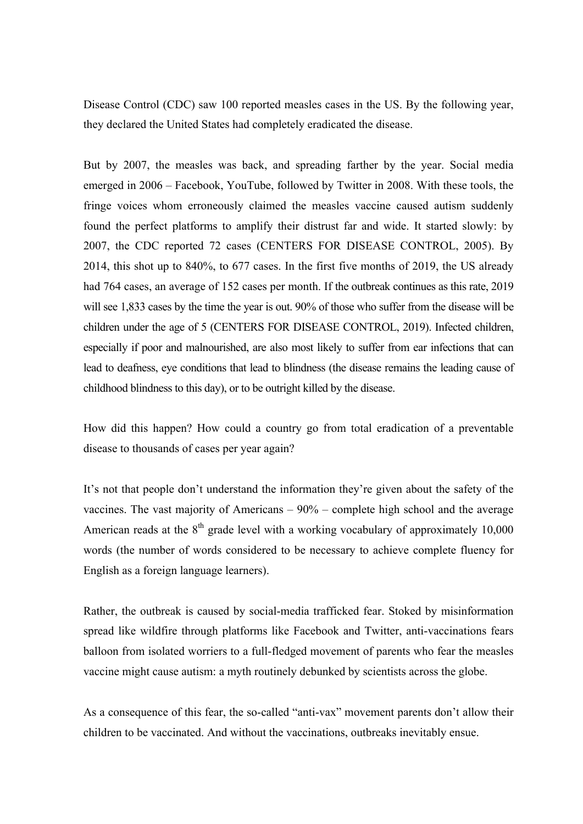Disease Control (CDC) saw 100 reported measles cases in the US. By the following year, they declared the United States had completely eradicated the disease.

But by 2007, the measles was back, and spreading farther by the year. Social media emerged in 2006 – Facebook, YouTube, followed by Twitter in 2008. With these tools, the fringe voices whom erroneously claimed the measles vaccine caused autism suddenly found the perfect platforms to amplify their distrust far and wide. It started slowly: by 2007, the CDC reported 72 cases (CENTERS FOR DISEASE CONTROL, 2005). By 2014, this shot up to 840%, to 677 cases. In the first five months of 2019, the US already had 764 cases, an average of 152 cases per month. If the outbreak continues as this rate, 2019 will see 1,833 cases by the time the year is out. 90% of those who suffer from the disease will be children under the age of 5 (CENTERS FOR DISEASE CONTROL, 2019). Infected children, especially if poor and malnourished, are also most likely to suffer from ear infections that can lead to deafness, eye conditions that lead to blindness (the disease remains the leading cause of childhood blindness to this day), or to be outright killed by the disease.

How did this happen? How could a country go from total eradication of a preventable disease to thousands of cases per year again?

It's not that people don't understand the information they're given about the safety of the vaccines. The vast majority of Americans – 90% – complete high school and the average American reads at the  $8<sup>th</sup>$  grade level with a working vocabulary of approximately 10,000 words (the number of words considered to be necessary to achieve complete fluency for English as a foreign language learners).

Rather, the outbreak is caused by social-media trafficked fear. Stoked by misinformation spread like wildfire through platforms like Facebook and Twitter, anti-vaccinations fears balloon from isolated worriers to a full-fledged movement of parents who fear the measles vaccine might cause autism: a myth routinely debunked by scientists across the globe.

As a consequence of this fear, the so-called "anti-vax" movement parents don't allow their children to be vaccinated. And without the vaccinations, outbreaks inevitably ensue.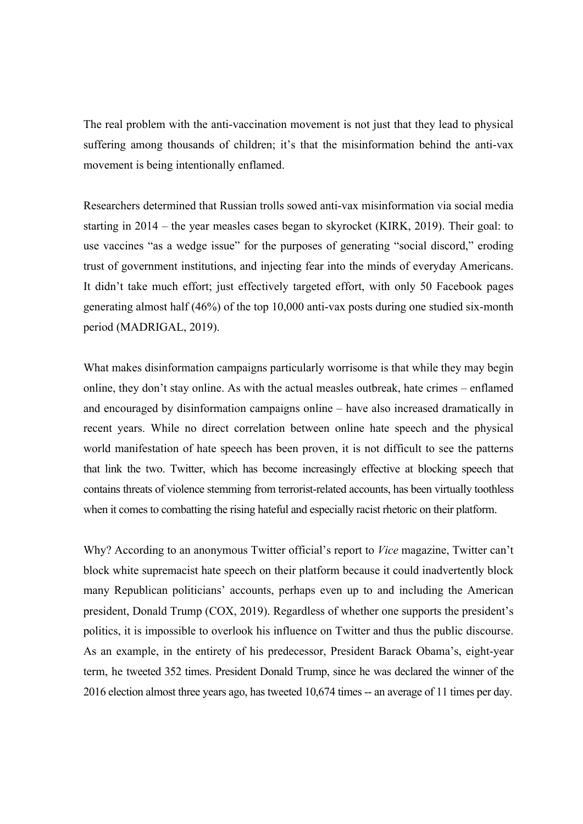The real problem with the anti-vaccination movement is not just that they lead to physical suffering among thousands of children; it's that the misinformation behind the anti-vax movement is being intentionally enflamed.

Researchers determined that Russian trolls sowed anti-vax misinformation via social media starting in 2014 – the year measles cases began to skyrocket (KIRK, 2019). Their goal: to use vaccines "as a wedge issue" for the purposes of generating "social discord," eroding trust of government institutions, and injecting fear into the minds of everyday Americans. It didn't take much effort; just effectively targeted effort, with only 50 Facebook pages generating almost half (46%) of the top 10,000 anti-vax posts during one studied six-month period (MADRIGAL, 2019).

What makes disinformation campaigns particularly worrisome is that while they may begin online, they don't stay online. As with the actual measles outbreak, hate crimes – enflamed and encouraged by disinformation campaigns online – have also increased dramatically in recent years. While no direct correlation between online hate speech and the physical world manifestation of hate speech has been proven, it is not difficult to see the patterns that link the two. Twitter, which has become increasingly effective at blocking speech that contains threats of violence stemming from terrorist-related accounts, has been virtually toothless when it comes to combatting the rising hateful and especially racist rhetoric on their platform.

Why? According to an anonymous Twitter official's report to *Vice* magazine, Twitter can't block white supremacist hate speech on their platform because it could inadvertently block many Republican politicians' accounts, perhaps even up to and including the American president, Donald Trump (COX, 2019). Regardless of whether one supports the president's politics, it is impossible to overlook his influence on Twitter and thus the public discourse. As an example, in the entirety of his predecessor, President Barack Obama's, eight-year term, he tweeted 352 times. President Donald Trump, since he was declared the winner of the 2016 election almost three years ago, has tweeted 10,674 times -- an average of 11 times per day.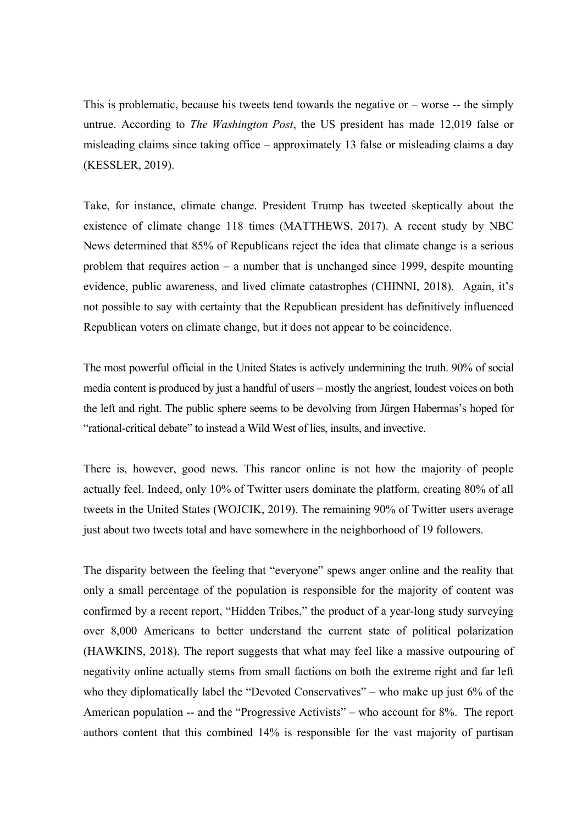This is problematic, because his tweets tend towards the negative or  $-$  worse  $-$  the simply untrue. According to *The Washington Post*, the US president has made 12,019 false or misleading claims since taking office – approximately 13 false or misleading claims a day (KESSLER, 2019).

Take, for instance, climate change. President Trump has tweeted skeptically about the existence of climate change 118 times (MATTHEWS, 2017). A recent study by NBC News determined that 85% of Republicans reject the idea that climate change is a serious problem that requires action – a number that is unchanged since 1999, despite mounting evidence, public awareness, and lived climate catastrophes (CHINNI, 2018). Again, it's not possible to say with certainty that the Republican president has definitively influenced Republican voters on climate change, but it does not appear to be coincidence.

The most powerful official in the United States is actively undermining the truth. 90% of social media content is produced by just a handful of users – mostly the angriest, loudest voices on both the left and right. The public sphere seems to be devolving from Jürgen Habermas's hoped for "rational-critical debate" to instead a Wild West of lies, insults, and invective.

There is, however, good news. This rancor online is not how the majority of people actually feel. Indeed, only 10% of Twitter users dominate the platform, creating 80% of all tweets in the United States (WOJCIK, 2019). The remaining 90% of Twitter users average just about two tweets total and have somewhere in the neighborhood of 19 followers.

The disparity between the feeling that "everyone" spews anger online and the reality that only a small percentage of the population is responsible for the majority of content was confirmed by a recent report, "Hidden Tribes," the product of a year-long study surveying over 8,000 Americans to better understand the current state of political polarization (HAWKINS, 2018). The report suggests that what may feel like a massive outpouring of negativity online actually stems from small factions on both the extreme right and far left who they diplomatically label the "Devoted Conservatives" – who make up just 6% of the American population -- and the "Progressive Activists" – who account for 8%. The report authors content that this combined 14% is responsible for the vast majority of partisan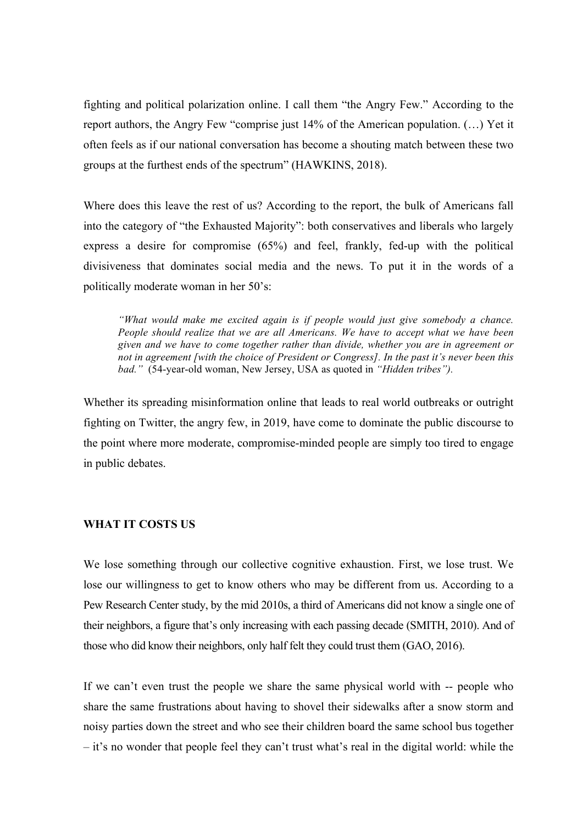fighting and political polarization online. I call them "the Angry Few." According to the report authors, the Angry Few "comprise just 14% of the American population. (…) Yet it often feels as if our national conversation has become a shouting match between these two groups at the furthest ends of the spectrum" (HAWKINS, 2018).

Where does this leave the rest of us? According to the report, the bulk of Americans fall into the category of "the Exhausted Majority": both conservatives and liberals who largely express a desire for compromise (65%) and feel, frankly, fed-up with the political divisiveness that dominates social media and the news. To put it in the words of a politically moderate woman in her 50's:

*"What would make me excited again is if people would just give somebody a chance. People should realize that we are all Americans. We have to accept what we have been given and we have to come together rather than divide, whether you are in agreement or not in agreement [with the choice of President or Congress]. In the past it's never been this bad."* (54-year-old woman, New Jersey, USA as quoted in *"Hidden tribes").*

Whether its spreading misinformation online that leads to real world outbreaks or outright fighting on Twitter, the angry few, in 2019, have come to dominate the public discourse to the point where more moderate, compromise-minded people are simply too tired to engage in public debates.

## **WHAT IT COSTS US**

We lose something through our collective cognitive exhaustion. First, we lose trust. We lose our willingness to get to know others who may be different from us. According to a Pew Research Center study, by the mid 2010s, a third of Americans did not know a single one of their neighbors, a figure that's only increasing with each passing decade (SMITH, 2010). And of those who did know their neighbors, only half felt they could trust them (GAO, 2016).

If we can't even trust the people we share the same physical world with -- people who share the same frustrations about having to shovel their sidewalks after a snow storm and noisy parties down the street and who see their children board the same school bus together – it's no wonder that people feel they can't trust what's real in the digital world: while the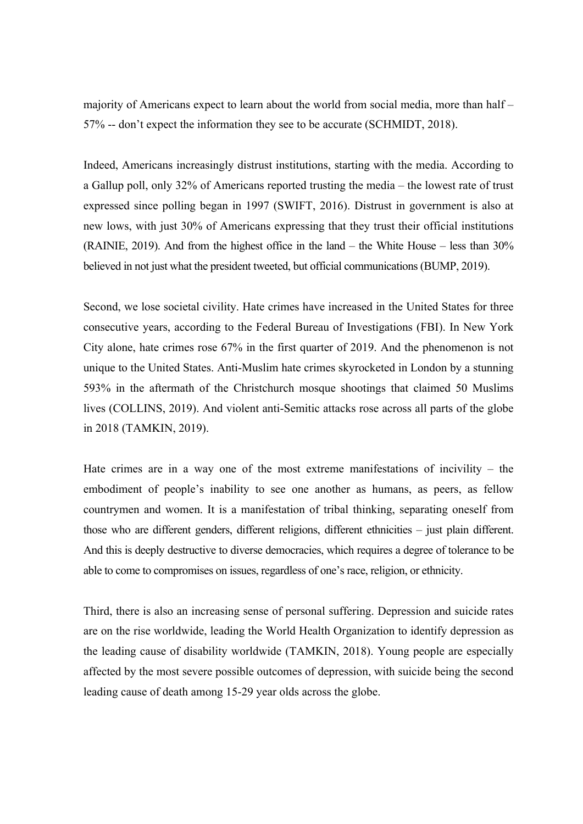majority of Americans expect to learn about the world from social media, more than half – 57% -- don't expect the information they see to be accurate (SCHMIDT, 2018).

Indeed, Americans increasingly distrust institutions, starting with the media. According to a Gallup poll, only 32% of Americans reported trusting the media – the lowest rate of trust expressed since polling began in 1997 (SWIFT, 2016). Distrust in government is also at new lows, with just 30% of Americans expressing that they trust their official institutions (RAINIE, 2019). And from the highest office in the land – the White House – less than 30% believed in not just what the president tweeted, but official communications(BUMP, 2019).

Second, we lose societal civility. Hate crimes have increased in the United States for three consecutive years, according to the Federal Bureau of Investigations (FBI). In New York City alone, hate crimes rose 67% in the first quarter of 2019. And the phenomenon is not unique to the United States. Anti-Muslim hate crimes skyrocketed in London by a stunning 593% in the aftermath of the Christchurch mosque shootings that claimed 50 Muslims lives (COLLINS, 2019). And violent anti-Semitic attacks rose across all parts of the globe in 2018 (TAMKIN, 2019).

Hate crimes are in a way one of the most extreme manifestations of incivility – the embodiment of people's inability to see one another as humans, as peers, as fellow countrymen and women. It is a manifestation of tribal thinking, separating oneself from those who are different genders, different religions, different ethnicities – just plain different. And this is deeply destructive to diverse democracies, which requires a degree of tolerance to be able to come to compromises on issues, regardless of one's race, religion, or ethnicity.

Third, there is also an increasing sense of personal suffering. Depression and suicide rates are on the rise worldwide, leading the World Health Organization to identify depression as the leading cause of disability worldwide (TAMKIN, 2018). Young people are especially affected by the most severe possible outcomes of depression, with suicide being the second leading cause of death among 15-29 year olds across the globe.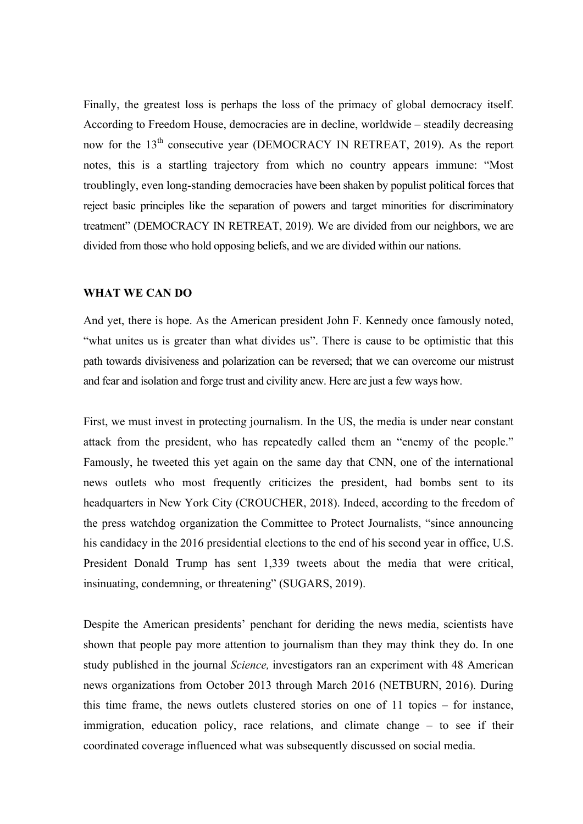Finally, the greatest loss is perhaps the loss of the primacy of global democracy itself. According to Freedom House, democracies are in decline, worldwide – steadily decreasing now for the 13<sup>th</sup> consecutive year (DEMOCRACY IN RETREAT, 2019). As the report notes, this is a startling trajectory from which no country appears immune: "Most troublingly, even long-standing democracies have been shaken by populist political forces that reject basic principles like the separation of powers and target minorities for discriminatory treatment" (DEMOCRACY IN RETREAT, 2019). We are divided from our neighbors, we are divided from those who hold opposing beliefs, and we are divided within our nations.

#### **WHAT WE CAN DO**

And yet, there is hope. As the American president John F. Kennedy once famously noted, "what unites us is greater than what divides us". There is cause to be optimistic that this path towards divisiveness and polarization can be reversed; that we can overcome our mistrust and fear and isolation and forge trust and civility anew. Here are just a few ways how.

First, we must invest in protecting journalism. In the US, the media is under near constant attack from the president, who has repeatedly called them an "enemy of the people." Famously, he tweeted this yet again on the same day that CNN, one of the international news outlets who most frequently criticizes the president, had bombs sent to its headquarters in New York City (CROUCHER, 2018). Indeed, according to the freedom of the press watchdog organization the Committee to Protect Journalists, "since announcing his candidacy in the 2016 presidential elections to the end of his second year in office, U.S. President Donald Trump has sent 1,339 tweets about the media that were critical, insinuating, condemning, or threatening" (SUGARS, 2019).

Despite the American presidents' penchant for deriding the news media, scientists have shown that people pay more attention to journalism than they may think they do. In one study published in the journal *Science,* investigators ran an experiment with 48 American news organizations from October 2013 through March 2016 (NETBURN, 2016). During this time frame, the news outlets clustered stories on one of 11 topics – for instance, immigration, education policy, race relations, and climate change – to see if their coordinated coverage influenced what was subsequently discussed on social media.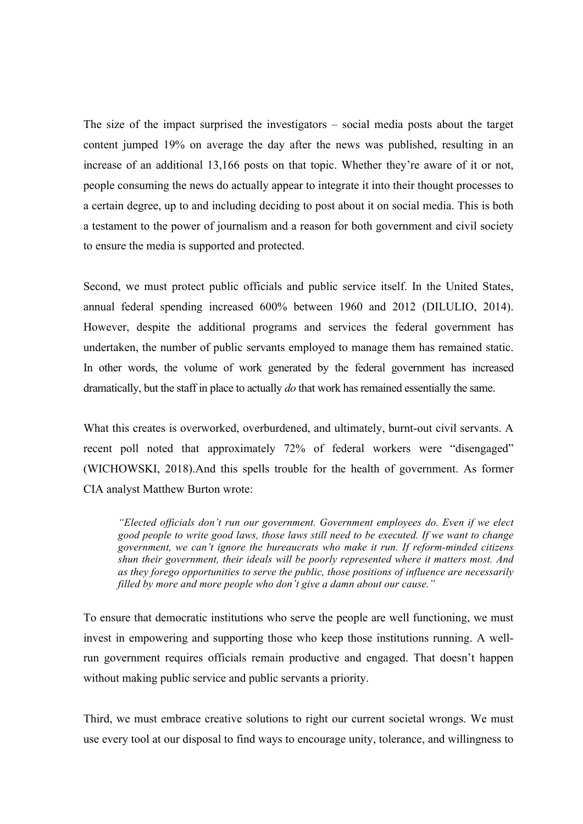The size of the impact surprised the investigators – social media posts about the target content jumped 19% on average the day after the news was published, resulting in an increase of an additional 13,166 posts on that topic. Whether they're aware of it or not, people consuming the news do actually appear to integrate it into their thought processes to a certain degree, up to and including deciding to post about it on social media. This is both a testament to the power of journalism and a reason for both government and civil society to ensure the media is supported and protected.

Second, we must protect public officials and public service itself. In the United States, annual federal spending increased 600% between 1960 and 2012 (DILULIO, 2014). However, despite the additional programs and services the federal government has undertaken, the number of public servants employed to manage them has remained static. In other words, the volume of work generated by the federal government has increased dramatically, but the staff in place to actually *do* that work has remained essentially the same.

What this creates is overworked, overburdened, and ultimately, burnt-out civil servants. A recent poll noted that approximately 72% of federal workers were "disengaged" (WICHOWSKI, 2018).And this spells trouble for the health of government. As former CIA analyst Matthew Burton wrote:

*"Elected officials don't run our government. Government employees do. Even if we elect good people to write good laws, those laws still need to be executed. If we want to change government, we can't ignore the bureaucrats who make it run. If reform-minded citizens shun their government, their ideals will be poorly represented where it matters most. And as they forego opportunities to serve the public, those positions of influence are necessarily filled by more and more people who don't give a damn about our cause."*

To ensure that democratic institutions who serve the people are well functioning, we must invest in empowering and supporting those who keep those institutions running. A wellrun government requires officials remain productive and engaged. That doesn't happen without making public service and public servants a priority.

Third, we must embrace creative solutions to right our current societal wrongs. We must use every tool at our disposal to find ways to encourage unity, tolerance, and willingness to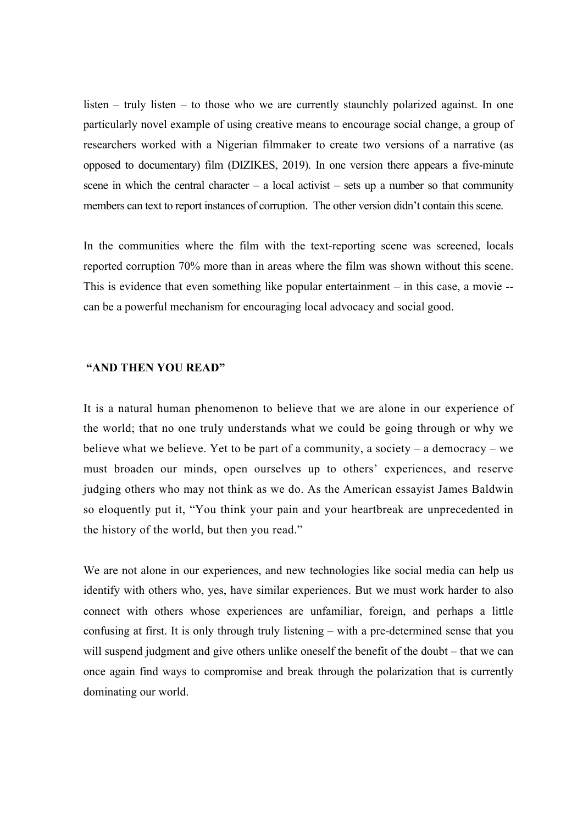listen – truly listen – to those who we are currently staunchly polarized against. In one particularly novel example of using creative means to encourage social change, a group of researchers worked with a Nigerian filmmaker to create two versions of a narrative (as opposed to documentary) film (DIZIKES, 2019). In one version there appears a five-minute scene in which the central character – a local activist – sets up a number so that community members can text to report instances of corruption. The other version didn't contain this scene.

In the communities where the film with the text-reporting scene was screened, locals reported corruption 70% more than in areas where the film was shown without this scene. This is evidence that even something like popular entertainment – in this case, a movie - can be a powerful mechanism for encouraging local advocacy and social good.

## **"AND THEN YOU READ"**

It is a natural human phenomenon to believe that we are alone in our experience of the world; that no one truly understands what we could be going through or why we believe what we believe. Yet to be part of a community, a society – a democracy – we must broaden our minds, open ourselves up to others' experiences, and reserve judging others who may not think as we do. As the American essayist James Baldwin so eloquently put it, "You think your pain and your heartbreak are unprecedented in the history of the world, but then you read."

We are not alone in our experiences, and new technologies like social media can help us identify with others who, yes, have similar experiences. But we must work harder to also connect with others whose experiences are unfamiliar, foreign, and perhaps a little confusing at first. It is only through truly listening – with a pre-determined sense that you will suspend judgment and give others unlike oneself the benefit of the doubt – that we can once again find ways to compromise and break through the polarization that is currently dominating our world.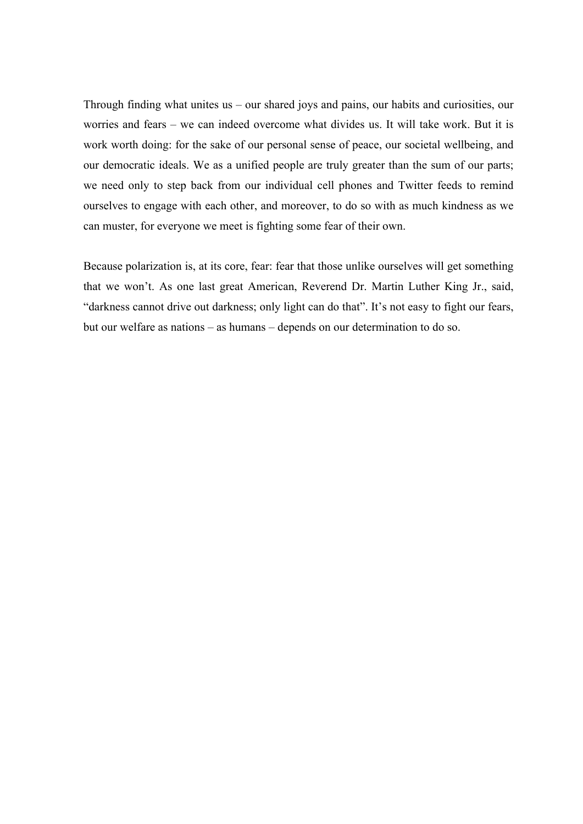Through finding what unites us – our shared joys and pains, our habits and curiosities, our worries and fears – we can indeed overcome what divides us. It will take work. But it is work worth doing: for the sake of our personal sense of peace, our societal wellbeing, and our democratic ideals. We as a unified people are truly greater than the sum of our parts; we need only to step back from our individual cell phones and Twitter feeds to remind ourselves to engage with each other, and moreover, to do so with as much kindness as we can muster, for everyone we meet is fighting some fear of their own.

Because polarization is, at its core, fear: fear that those unlike ourselves will get something that we won't. As one last great American, Reverend Dr. Martin Luther King Jr., said, "darkness cannot drive out darkness; only light can do that". It's not easy to fight our fears, but our welfare as nations – as humans – depends on our determination to do so.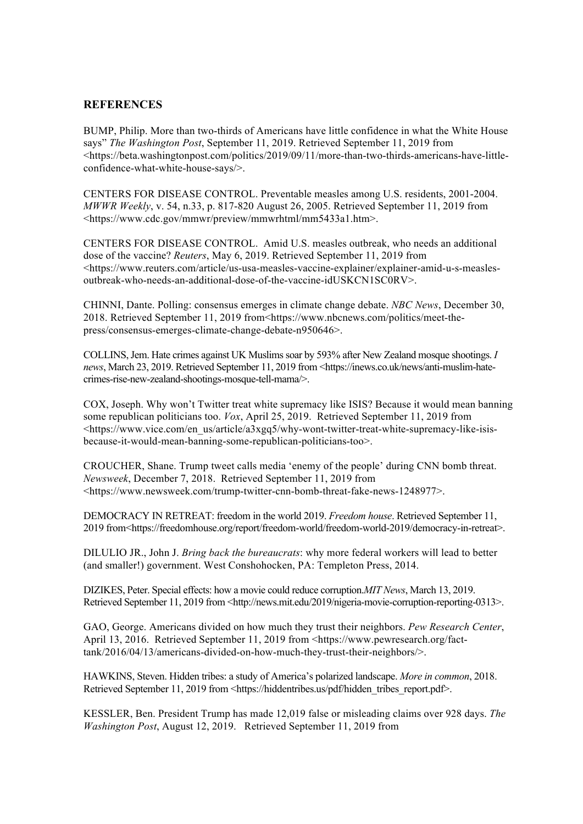#### **REFERENCES**

BUMP, Philip. More than two-thirds of Americans have little confidence in what the White House says" *The Washington Post*, September 11, 2019. Retrieved September 11, 2019 from <https://beta.washingtonpost.com/politics/2019/09/11/more-than-two-thirds-americans-have-littleconfidence-what-white-house-says/>.

CENTERS FOR DISEASE CONTROL. Preventable measles among U.S. residents, 2001-2004. *MWWR Weekly*, v. 54, n.33, p. 817-820 August 26, 2005. Retrieved September 11, 2019 from <https://www.cdc.gov/mmwr/preview/mmwrhtml/mm5433a1.htm>.

CENTERS FOR DISEASE CONTROL. Amid U.S. measles outbreak, who needs an additional dose of the vaccine? *Reuters*, May 6, 2019. Retrieved September 11, 2019 from <https://www.reuters.com/article/us-usa-measles-vaccine-explainer/explainer-amid-u-s-measlesoutbreak-who-needs-an-additional-dose-of-the-vaccine-idUSKCN1SC0RV>.

CHINNI, Dante. Polling: consensus emerges in climate change debate. *NBC News*, December 30, 2018. Retrieved September 11, 2019 from<https://www.nbcnews.com/politics/meet-thepress/consensus-emerges-climate-change-debate-n950646>.

COLLINS, Jem. Hate crimes against UK Muslims soar by 593% after New Zealand mosque shootings. *I news*, March 23, 2019. Retrieved September 11, 2019 from <https://inews.co.uk/news/anti-muslim-hatecrimes-rise-new-zealand-shootings-mosque-tell-mama/>.

COX, Joseph. Why won't Twitter treat white supremacy like ISIS? Because it would mean banning some republican politicians too. *Vox*, April 25, 2019. Retrieved September 11, 2019 from <https://www.vice.com/en\_us/article/a3xgq5/why-wont-twitter-treat-white-supremacy-like-isisbecause-it-would-mean-banning-some-republican-politicians-too>.

CROUCHER, Shane. Trump tweet calls media 'enemy of the people' during CNN bomb threat. *Newsweek*, December 7, 2018. Retrieved September 11, 2019 from <https://www.newsweek.com/trump-twitter-cnn-bomb-threat-fake-news-1248977>.

DEMOCRACY IN RETREAT: freedom in the world 2019. *Freedom house*. Retrieved September 11, 2019 from<https://freedomhouse.org/report/freedom-world/freedom-world-2019/democracy-in-retreat>.

DILULIO JR., John J. *Bring back the bureaucrats*: why more federal workers will lead to better (and smaller!) government. West Conshohocken, PA: Templeton Press, 2014.

DIZIKES, Peter. Special effects: how a movie could reduce corruption.*MIT News*, March 13, 2019. Retrieved September 11, 2019 from <http://news.mit.edu/2019/nigeria-movie-corruption-reporting-0313>.

GAO, George. Americans divided on how much they trust their neighbors. *Pew Research Center*, April 13, 2016. Retrieved September 11, 2019 from <https://www.pewresearch.org/facttank/2016/04/13/americans-divided-on-how-much-they-trust-their-neighbors/>.

HAWKINS, Steven. Hidden tribes: a study of America's polarized landscape. *More in common*, 2018. Retrieved September 11, 2019 from <https://hiddentribes.us/pdf/hidden\_tribes\_report.pdf>.

KESSLER, Ben. President Trump has made 12,019 false or misleading claims over 928 days. *The Washington Post*, August 12, 2019. Retrieved September 11, 2019 from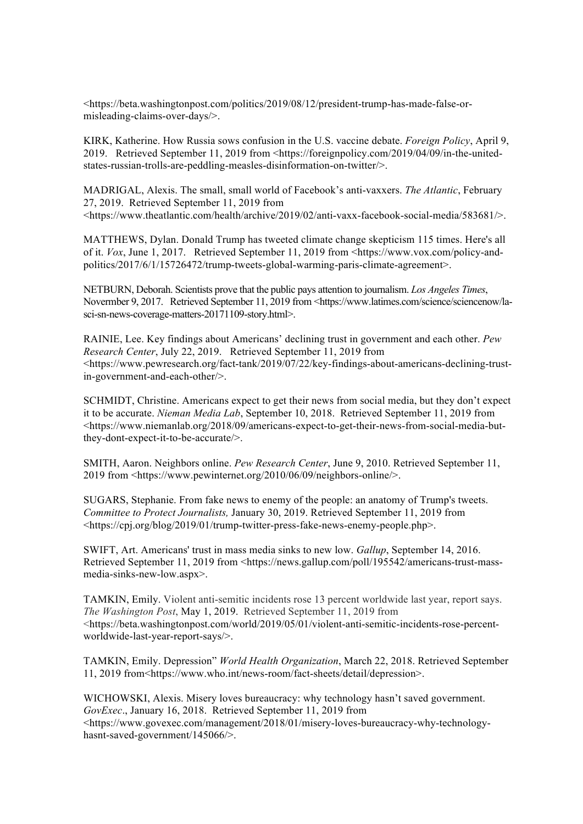<https://beta.washingtonpost.com/politics/2019/08/12/president-trump-has-made-false-ormisleading-claims-over-days/>.

KIRK, Katherine. How Russia sows confusion in the U.S. vaccine debate. *Foreign Policy*, April 9, 2019. Retrieved September 11, 2019 from <https://foreignpolicy.com/2019/04/09/in-the-unitedstates-russian-trolls-are-peddling-measles-disinformation-on-twitter/>.

MADRIGAL, Alexis. The small, small world of Facebook's anti-vaxxers. *The Atlantic*, February 27, 2019. Retrieved September 11, 2019 from <https://www.theatlantic.com/health/archive/2019/02/anti-vaxx-facebook-social-media/583681/>.

MATTHEWS, Dylan. Donald Trump has tweeted climate change skepticism 115 times. Here's all of it. *Vox*, June 1, 2017. Retrieved September 11, 2019 from <https://www.vox.com/policy-andpolitics/2017/6/1/15726472/trump-tweets-global-warming-paris-climate-agreement>.

NETBURN, Deborah. Scientists prove that the public pays attention to journalism. *Los Angeles Times*, Novermber 9, 2017. Retrieved September 11, 2019 from <https://www.latimes.com/science/sciencenow/lasci-sn-news-coverage-matters-20171109-story.html>.

RAINIE, Lee. Key findings about Americans' declining trust in government and each other. *Pew Research Center*, July 22, 2019. Retrieved September 11, 2019 from <https://www.pewresearch.org/fact-tank/2019/07/22/key-findings-about-americans-declining-trustin-government-and-each-other/>.

SCHMIDT, Christine. Americans expect to get their news from social media, but they don't expect it to be accurate. *Nieman Media Lab*, September 10, 2018. Retrieved September 11, 2019 from <https://www.niemanlab.org/2018/09/americans-expect-to-get-their-news-from-social-media-butthey-dont-expect-it-to-be-accurate/>.

SMITH, Aaron. Neighbors online. *Pew Research Center*, June 9, 2010. Retrieved September 11, 2019 from <https://www.pewinternet.org/2010/06/09/neighbors-online/>.

SUGARS, Stephanie. From fake news to enemy of the people: an anatomy of Trump's tweets. *Committee to Protect Journalists,* January 30, 2019. Retrieved September 11, 2019 from <https://cpj.org/blog/2019/01/trump-twitter-press-fake-news-enemy-people.php>.

SWIFT, Art. Americans' trust in mass media sinks to new low. *Gallup*, September 14, 2016. Retrieved September 11, 2019 from <https://news.gallup.com/poll/195542/americans-trust-massmedia-sinks-new-low.aspx>.

TAMKIN, Emily. Violent anti-semitic incidents rose 13 percent worldwide last year, report says. *The Washington Post*, May 1, 2019. Retrieved September 11, 2019 from <https://beta.washingtonpost.com/world/2019/05/01/violent-anti-semitic-incidents-rose-percentworldwide-last-year-report-says/>.

TAMKIN, Emily. Depression" *World Health Organization*, March 22, 2018. Retrieved September 11, 2019 from<https://www.who.int/news-room/fact-sheets/detail/depression>.

WICHOWSKI, Alexis. Misery loves bureaucracy: why technology hasn't saved government. *GovExec*., January 16, 2018. Retrieved September 11, 2019 from <https://www.govexec.com/management/2018/01/misery-loves-bureaucracy-why-technologyhasnt-saved-government/145066/>.